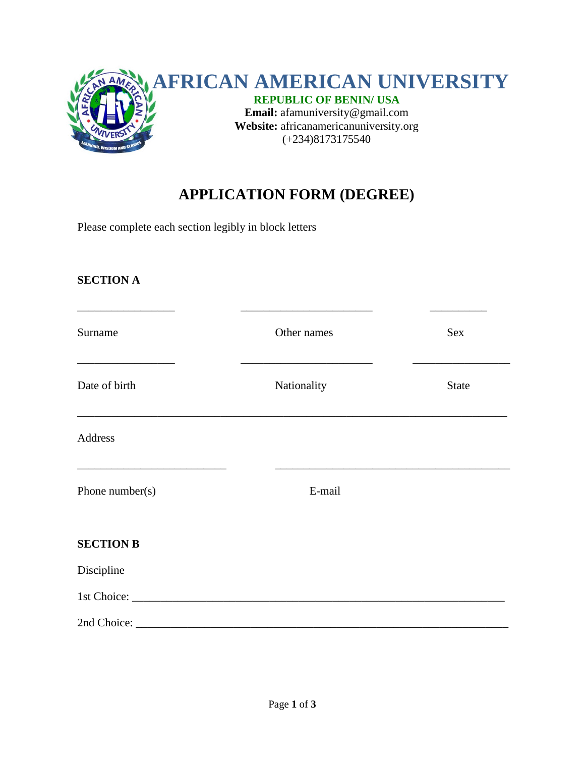

# **APPLICATION FORM (DEGREE)**

Please complete each section legibly in block letters

#### **SECTION A**

| Surname                                                                                                                                       | Other names | Sex          |
|-----------------------------------------------------------------------------------------------------------------------------------------------|-------------|--------------|
| Date of birth                                                                                                                                 | Nationality | <b>State</b> |
| Address                                                                                                                                       |             |              |
| <u> 1980 - Johann John Stone, market fan it ferstjer fan it ferstjer fan it ferstjer fan it ferstjer fan it ferstj</u><br>Phone number( $s$ ) | E-mail      |              |
| <b>SECTION B</b>                                                                                                                              |             |              |
| Discipline                                                                                                                                    |             |              |
|                                                                                                                                               |             |              |
|                                                                                                                                               |             |              |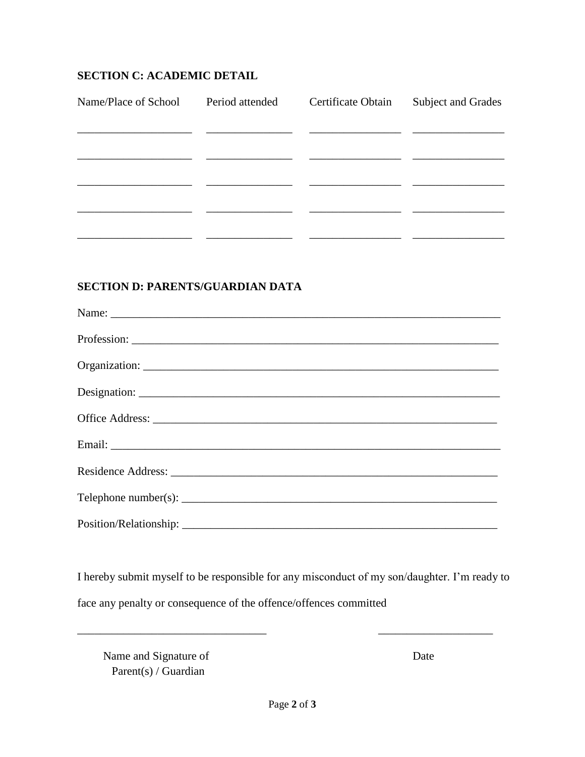#### **SECTION C: ACADEMIC DETAIL**

| Name/Place of School | Period attended | Certificate Obtain | <b>Subject and Grades</b> |
|----------------------|-----------------|--------------------|---------------------------|
|                      |                 |                    |                           |
|                      |                 |                    |                           |
|                      |                 |                    |                           |
|                      |                 |                    |                           |
|                      |                 |                    |                           |
|                      |                 |                    |                           |

## **SECTION D: PARENTS/GUARDIAN DATA**

I hereby submit myself to be responsible for any misconduct of my son/daughter. I'm ready to face any penalty or consequence of the offence/offences committed

 $\overline{\phantom{a}}$ 

Name and Signature of Parent(s) / Guardian

Date